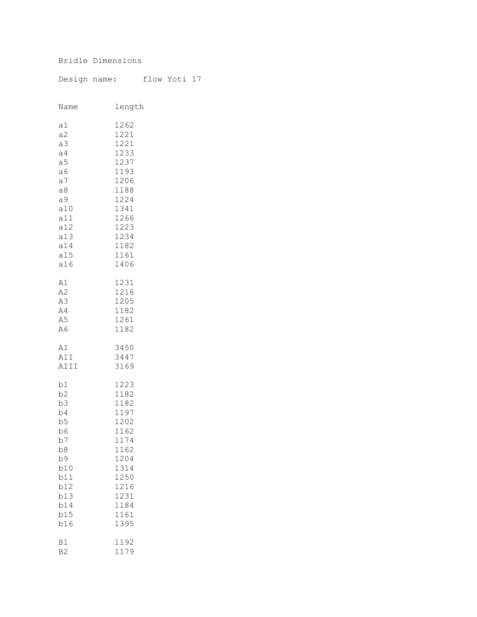## Bridle Dimensions

Design name: flow Yoti 17

| Name           | length |
|----------------|--------|
| a1             | 1262   |
| a2             | 1221   |
| a3             | 1221   |
| a <sub>4</sub> | 1233   |
| a <sub>5</sub> | 1237   |
| a6             | 1193   |
| a <sub>7</sub> | 1206   |
| a8             | 1188   |
| а9             | 1224   |
| a10            | 1341   |
| a11            | 1266   |
| a12            | 1223   |
| a13            | 1234   |
| a14            | 1182   |
| a15            | 1161   |
| a16            | 1406   |
| A1             | 1231   |
| A2             | 1216   |
| A3             | 1205   |
| A4             | 1182   |
| A5             | 1261   |
| A6             | 1182   |
| AΙ             | 3450   |
| AII            | 3447   |
| AIII           | 3169   |
| b1             | 1223   |
| b2             | 1182   |
| b3             | 1182   |
| b4             | 1197   |
| b5             | 1202   |
| b6             | 1162   |
| b7             | 1174   |
| b8             | 1162   |
| b9             | 1204   |
| b10            | 1314   |
| b11            | 1250   |
| b12            | 1216   |
| b13            | 1231   |
| b14            | 1184   |
| b15            | 1161   |
| b16            | 1395   |
| B1             | 1192   |
| B <sub>2</sub> | 1179   |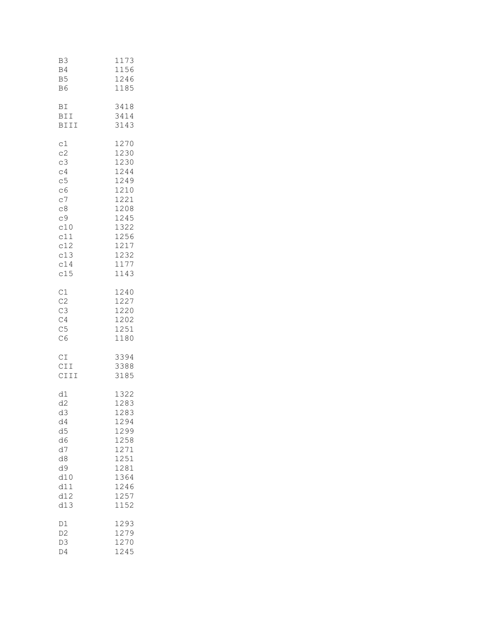| B3             | 1173 |
|----------------|------|
| B4             | 1156 |
| B <sub>5</sub> | 1246 |
| B6             | 1185 |
| ВI             | 3418 |
| BII            | 3414 |
| BIII           | 3143 |
| c1             | 1270 |
| c2             | 1230 |
| c3             | 1230 |
| c4             | 1244 |
| c5             | 1249 |
| C6             | 1210 |
| c7             | 1221 |
| C8             | 1208 |
| c9             | 1245 |
| c10            | 1322 |
| c11            | 1256 |
| c12            | 1217 |
| c13            | 1232 |
| c14            | 1177 |
| c15            | 1143 |
| C1             | 1240 |
| C2             | 1227 |
| C3             | 1220 |
| C4             | 1202 |
| C <sub>5</sub> | 1251 |
| C6             | 1180 |
| CI             | 3394 |
| CII            | 3388 |
| CIII           | 3185 |
| d1             | 1322 |
| d <sub>2</sub> | 1283 |
| d3             | 1283 |
| d4             | 1294 |
| d5             | 1299 |
| d6             | 1258 |
| d7             | 1271 |
| d8             | 1251 |
| d9             | 1281 |
| d10            | 1364 |
| d11            | 1246 |
| d12            | 1257 |
| d13            | 1152 |
| D1             | 1293 |
| D <sub>2</sub> | 1279 |
| D <sub>3</sub> | 1270 |
| D4             | 1245 |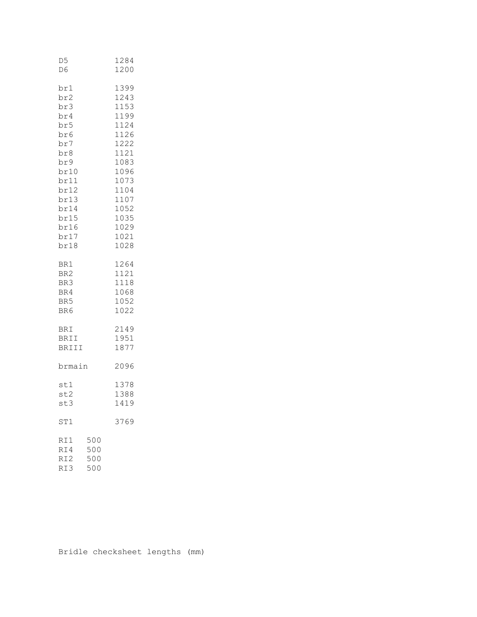| D5<br>D6                                                                                                                            |                          | 1284<br>1200                                                                                                                                 |
|-------------------------------------------------------------------------------------------------------------------------------------|--------------------------|----------------------------------------------------------------------------------------------------------------------------------------------|
| br1<br>br2<br>br3<br>br4<br>br5<br>br6<br>br7<br>br8<br>br9<br>br10<br>br11<br>br12<br>br13<br>br14<br>br15<br>br16<br>br17<br>br18 |                          | 1399<br>1243<br>1153<br>1199<br>1124<br>1126<br>1222<br>1121<br>1083<br>1096<br>1073<br>1104<br>1107<br>1052<br>1035<br>1029<br>1021<br>1028 |
| BR1<br>BR2<br>BR3<br>BR4<br>BR5<br>BR6                                                                                              |                          | 1264<br>1121<br>1118<br>1068<br>1052<br>1022                                                                                                 |
| BRI<br>BRII<br>BRIII                                                                                                                |                          | 2149<br>1951<br>1877                                                                                                                         |
| brmain                                                                                                                              |                          | 2096                                                                                                                                         |
| stl<br>st2<br>st3                                                                                                                   |                          | 1378<br>1388<br>1419                                                                                                                         |
| ST1                                                                                                                                 |                          | 3769                                                                                                                                         |
| RI1<br>RI4<br>RI <sub>2</sub><br>RI3                                                                                                | 500<br>500<br>500<br>500 |                                                                                                                                              |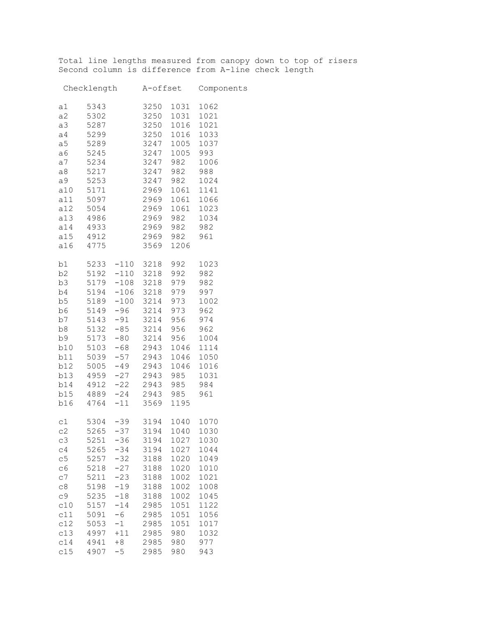Total line lengths measured from canopy down to top of risers Second column is difference from A-line check length

| Checklength A-offset Components                                                                                                        |                                                                                                                      |                                                                                                               |                                                                                                                                                                                                                                                                                                                             |                                                                                                                                  |                                                                                                                      |
|----------------------------------------------------------------------------------------------------------------------------------------|----------------------------------------------------------------------------------------------------------------------|---------------------------------------------------------------------------------------------------------------|-----------------------------------------------------------------------------------------------------------------------------------------------------------------------------------------------------------------------------------------------------------------------------------------------------------------------------|----------------------------------------------------------------------------------------------------------------------------------|----------------------------------------------------------------------------------------------------------------------|
| a1<br>a2<br>a3<br>a4<br>a <sub>5</sub><br>a6<br>a7<br>a8<br>a9<br>a10<br>a11<br>a12<br>a13<br>a14<br>a15 4912<br>a16                   | 5343<br>5302<br>5287<br>5299<br>5289<br>5245<br>5234<br>5217<br>5253<br>5171<br>5097<br>5054<br>4986<br>4933<br>4775 |                                                                                                               | 3250<br>3250<br>3250<br>3250<br>3247<br>3247<br>3247<br>3247<br>3247<br>2969<br>2969<br>2969<br>2969<br>2969<br>2969<br>3569                                                                                                                                                                                                | 1031<br>1016<br>1005 1037<br>1005<br>982<br>982 988<br>982 982<br>982 961<br>1206                                                | 1031 1062<br>1021<br>1021<br>1016 1033<br>993<br>1006<br>982 1024<br>1061 1141<br>1061 1066<br>1061 1023<br>982 1034 |
| b3<br>b4<br>b5<br>b16                                                                                                                  |                                                                                                                      |                                                                                                               | b1 5233 -110 3218<br>b2 5192 -110 3218<br>5179 -108 3218<br>5194 -106 3218<br>5189 -100 3214<br>b6 5149 -96 3214<br>b7 5143 -91 3214<br>b8 5132 -85 3214<br>b9 5173 -80 3214<br>b10 5103 -68 2943<br>b11 5039 -57 2943<br>b12 5005 -49 2943<br>b13 4959 -27 2943<br>b14 4912 -22 2943<br>b15 4889 -24 2943<br>4764 -11 3569 | 992 1023<br>992 982<br>979 982<br>979 997<br>973 1002<br>973 962<br>956 974<br>956 962<br>985 1031<br>985 984<br>985 961<br>1195 | 956 1004<br>1046 1114<br>1046 1050<br>1046 1016                                                                      |
| c2<br>C <sub>3</sub><br>C <sub>4</sub><br>c5<br>C6<br>C <sub>7</sub><br>C8<br>C <sub>9</sub><br>c10<br>c11<br>c12<br>c13<br>c14<br>c15 | 5251<br>5265<br>5257<br>5218<br>5211<br>5198<br>5235<br>5157<br>5091<br>5053<br>4997<br>4941<br>4907                 | $-36$<br>$-34$<br>$-32$<br>$-27$<br>$-23$<br>$-19$<br>$-18$<br>$-14$<br>$-6$<br>$-1$<br>$+11$<br>$+8$<br>$-5$ | $c1$ 5304 -39 3194<br>5265 -37 3194<br>3194<br>3194<br>3188<br>3188<br>3188<br>3188<br>3188<br>2985<br>2985<br>2985<br>2985<br>2985<br>2985                                                                                                                                                                                 | 1040 1070<br>1040 1030<br>1027<br>1027<br>1020<br>1020<br>1002<br>1002<br>1002<br>1051<br>1051<br>1051<br>980<br>980<br>980      | 1030<br>1044<br>1049<br>1010<br>1021<br>1008<br>1045<br>1122<br>1056<br>1017<br>1032<br>977<br>943                   |